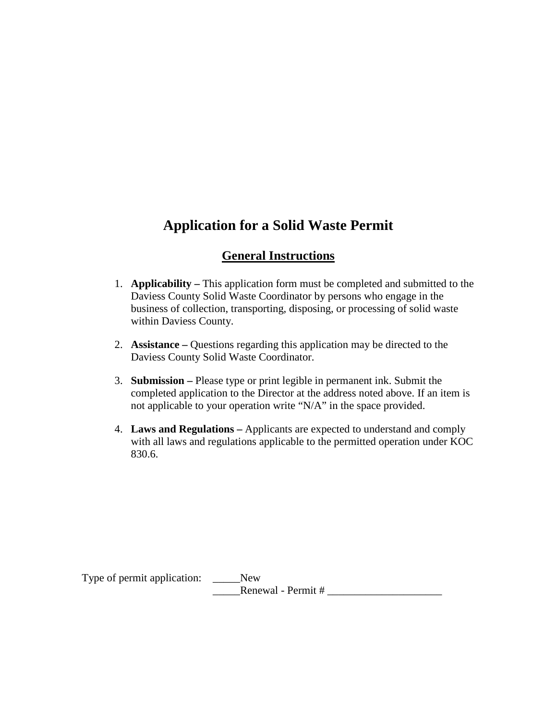# **Application for a Solid Waste Permit**

## **General Instructions**

- 1. **Applicability –** This application form must be completed and submitted to the Daviess County Solid Waste Coordinator by persons who engage in the business of collection, transporting, disposing, or processing of solid waste within Daviess County.
- 2. **Assistance –** Questions regarding this application may be directed to the Daviess County Solid Waste Coordinator.
- 3. **Submission –** Please type or print legible in permanent ink. Submit the completed application to the Director at the address noted above. If an item is not applicable to your operation write "N/A" in the space provided.
- 4. **Laws and Regulations –** Applicants are expected to understand and comply with all laws and regulations applicable to the permitted operation under KOC 830.6.

Type of permit application: \_\_\_\_\_New \_\_\_\_\_Renewal - Permit # \_\_\_\_\_\_\_\_\_\_\_\_\_\_\_\_\_\_\_\_\_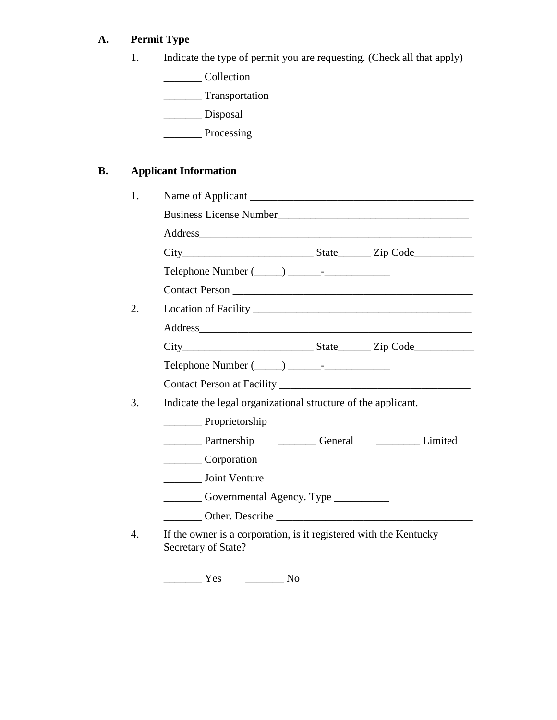# **A. Permit Type**

|  |  | Indicate the type of permit you are requesting. (Check all that apply) |  |  |
|--|--|------------------------------------------------------------------------|--|--|
|--|--|------------------------------------------------------------------------|--|--|

\_\_\_\_\_\_\_ Collection

\_\_\_\_\_\_\_ Transportation

\_\_\_\_\_\_\_ Disposal

\_\_\_\_\_\_\_ Processing

# **B. Applicant Information**

| $Telephone Number (\_\_) \_\_$                                                           |                                           |  |                 |  |
|------------------------------------------------------------------------------------------|-------------------------------------------|--|-----------------|--|
|                                                                                          |                                           |  |                 |  |
|                                                                                          |                                           |  |                 |  |
|                                                                                          |                                           |  |                 |  |
|                                                                                          |                                           |  |                 |  |
|                                                                                          |                                           |  |                 |  |
|                                                                                          |                                           |  |                 |  |
| Indicate the legal organizational structure of the applicant.                            |                                           |  |                 |  |
| Proprietorship                                                                           |                                           |  |                 |  |
| Partnership <u>Ceneral</u> Ceneral Limited                                               |                                           |  |                 |  |
| Corporation                                                                              |                                           |  |                 |  |
| <b>Joint Venture</b>                                                                     |                                           |  |                 |  |
| Governmental Agency. Type __________                                                     |                                           |  |                 |  |
|                                                                                          |                                           |  | Other. Describe |  |
| If the owner is a corporation, is it registered with the Kentucky<br>Secretary of State? |                                           |  |                 |  |
| Yes                                                                                      | $\frac{1}{\sqrt{1-\frac{1}{2}}}\text{No}$ |  |                 |  |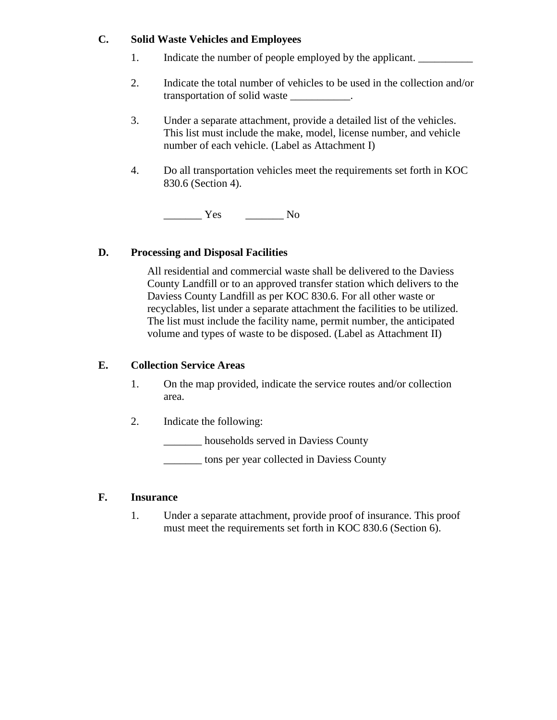#### **C. Solid Waste Vehicles and Employees**

- 1. Indicate the number of people employed by the applicant.
- 2. Indicate the total number of vehicles to be used in the collection and/or transportation of solid waste \_\_\_\_\_\_\_\_\_\_\_.
- 3. Under a separate attachment, provide a detailed list of the vehicles. This list must include the make, model, license number, and vehicle number of each vehicle. (Label as Attachment I)
- 4. Do all transportation vehicles meet the requirements set forth in KOC 830.6 (Section 4).

\_\_\_\_\_\_\_ Yes \_\_\_\_\_\_\_ No

#### **D. Processing and Disposal Facilities**

All residential and commercial waste shall be delivered to the Daviess County Landfill or to an approved transfer station which delivers to the Daviess County Landfill as per KOC 830.6. For all other waste or recyclables, list under a separate attachment the facilities to be utilized. The list must include the facility name, permit number, the anticipated volume and types of waste to be disposed. (Label as Attachment II)

#### **E. Collection Service Areas**

- 1. On the map provided, indicate the service routes and/or collection area.
- 2. Indicate the following:

households served in Daviess County

\_\_\_\_\_\_\_ tons per year collected in Daviess County

#### **F. Insurance**

1. Under a separate attachment, provide proof of insurance. This proof must meet the requirements set forth in KOC 830.6 (Section 6).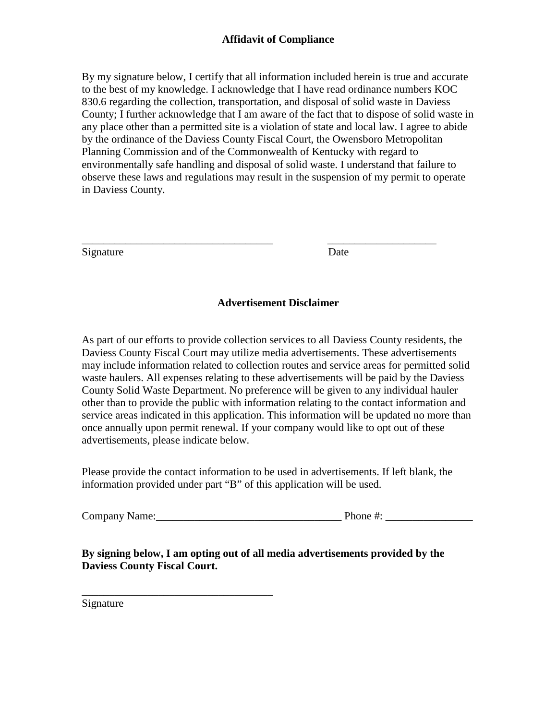### **Affidavit of Compliance**

By my signature below, I certify that all information included herein is true and accurate to the best of my knowledge. I acknowledge that I have read ordinance numbers KOC 830.6 regarding the collection, transportation, and disposal of solid waste in Daviess County; I further acknowledge that I am aware of the fact that to dispose of solid waste in any place other than a permitted site is a violation of state and local law. I agree to abide by the ordinance of the Daviess County Fiscal Court, the Owensboro Metropolitan Planning Commission and of the Commonwealth of Kentucky with regard to environmentally safe handling and disposal of solid waste. I understand that failure to observe these laws and regulations may result in the suspension of my permit to operate in Daviess County.

Signature Date

#### **Advertisement Disclaimer**

\_\_\_\_\_\_\_\_\_\_\_\_\_\_\_\_\_\_\_\_\_\_\_\_\_\_\_\_\_\_\_\_\_\_\_ \_\_\_\_\_\_\_\_\_\_\_\_\_\_\_\_\_\_\_\_

As part of our efforts to provide collection services to all Daviess County residents, the Daviess County Fiscal Court may utilize media advertisements. These advertisements may include information related to collection routes and service areas for permitted solid waste haulers. All expenses relating to these advertisements will be paid by the Daviess County Solid Waste Department. No preference will be given to any individual hauler other than to provide the public with information relating to the contact information and service areas indicated in this application. This information will be updated no more than once annually upon permit renewal. If your company would like to opt out of these advertisements, please indicate below.

Please provide the contact information to be used in advertisements. If left blank, the information provided under part "B" of this application will be used.

Company Name:\_\_\_\_\_\_\_\_\_\_\_\_\_\_\_\_\_\_\_\_\_\_\_\_\_\_\_\_\_\_\_\_\_\_ Phone #: \_\_\_\_\_\_\_\_\_\_\_\_\_\_\_\_

### **By signing below, I am opting out of all media advertisements provided by the Daviess County Fiscal Court.**

Signature

\_\_\_\_\_\_\_\_\_\_\_\_\_\_\_\_\_\_\_\_\_\_\_\_\_\_\_\_\_\_\_\_\_\_\_